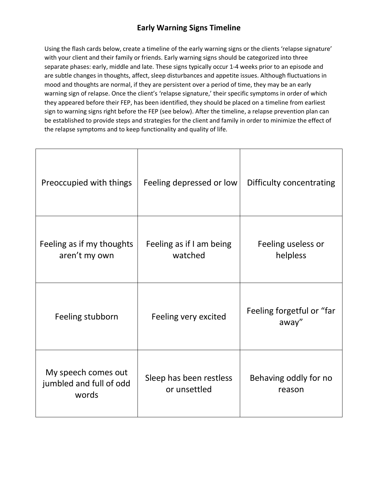## **Early Warning Signs Timeline**

Using the flash cards below, create a timeline of the early warning signs or the clients 'relapse signature' with your client and their family or friends. Early warning signs should be categorized into three separate phases: early, middle and late. These signs typically occur 1-4 weeks prior to an episode and are subtle changes in thoughts, affect, sleep disturbances and appetite issues. Although fluctuations in mood and thoughts are normal, if they are persistent over a period of time, they may be an early warning sign of relapse. Once the client's 'relapse signature,' their specific symptoms in order of which they appeared before their FEP, has been identified, they should be placed on a timeline from earliest sign to warning signs right before the FEP (see below). After the timeline, a relapse prevention plan can be established to provide steps and strategies for the client and family in order to minimize the effect of the relapse symptoms and to keep functionality and quality of life.

| Preoccupied with things                                 | Feeling depressed or low                | Difficulty concentrating           |
|---------------------------------------------------------|-----------------------------------------|------------------------------------|
| Feeling as if my thoughts<br>aren't my own              | Feeling as if I am being<br>watched     | Feeling useless or<br>helpless     |
| Feeling stubborn                                        | Feeling very excited                    | Feeling forgetful or "far<br>away" |
| My speech comes out<br>jumbled and full of odd<br>words | Sleep has been restless<br>or unsettled | Behaving oddly for no<br>reason    |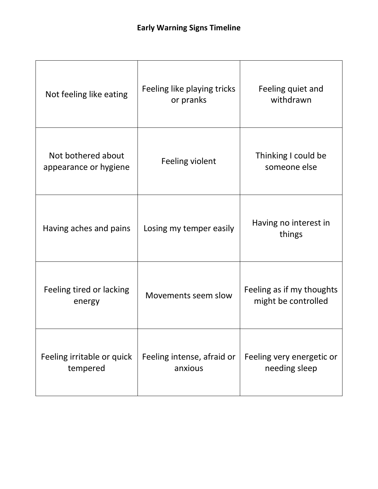| Not feeling like eating                     | Feeling like playing tricks<br>or pranks | Feeling quiet and<br>withdrawn                   |
|---------------------------------------------|------------------------------------------|--------------------------------------------------|
| Not bothered about<br>appearance or hygiene | Feeling violent                          | Thinking I could be<br>someone else              |
| Having aches and pains                      | Losing my temper easily                  | Having no interest in<br>things                  |
| Feeling tired or lacking<br>energy          | Movements seem slow                      | Feeling as if my thoughts<br>might be controlled |
| Feeling irritable or quick<br>tempered      | Feeling intense, afraid or<br>anxious    | Feeling very energetic or<br>needing sleep       |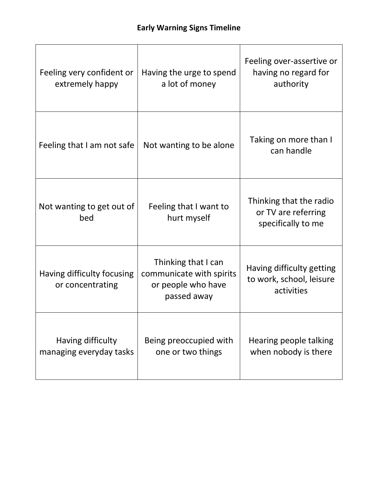| Feeling very confident or<br>extremely happy   | Having the urge to spend<br>a lot of money                                           | Feeling over-assertive or<br>having no regard for<br>authority       |
|------------------------------------------------|--------------------------------------------------------------------------------------|----------------------------------------------------------------------|
| Feeling that I am not safe                     | Not wanting to be alone                                                              | Taking on more than I<br>can handle                                  |
| Not wanting to get out of<br>bed               | Feeling that I want to<br>hurt myself                                                | Thinking that the radio<br>or TV are referring<br>specifically to me |
| Having difficulty focusing<br>or concentrating | Thinking that I can<br>communicate with spirits<br>or people who have<br>passed away | Having difficulty getting<br>to work, school, leisure<br>activities  |
| Having difficulty<br>managing everyday tasks   | Being preoccupied with<br>one or two things                                          | Hearing people talking<br>when nobody is there                       |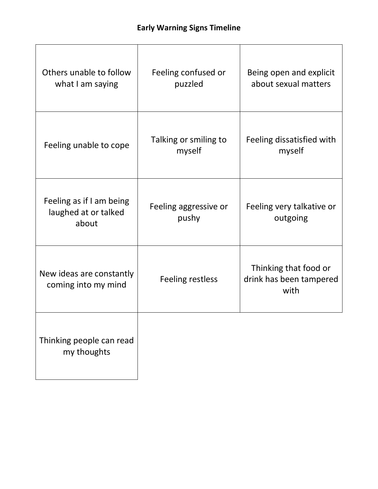| Others unable to follow<br>what I am saying               | Feeling confused or<br>puzzled  | Being open and explicit<br>about sexual matters          |
|-----------------------------------------------------------|---------------------------------|----------------------------------------------------------|
| Feeling unable to cope                                    | Talking or smiling to<br>myself | Feeling dissatisfied with<br>myself                      |
| Feeling as if I am being<br>laughed at or talked<br>about | Feeling aggressive or<br>pushy  | Feeling very talkative or<br>outgoing                    |
| New ideas are constantly<br>coming into my mind           | <b>Feeling restless</b>         | Thinking that food or<br>drink has been tampered<br>with |
| Thinking people can read<br>my thoughts                   |                                 |                                                          |